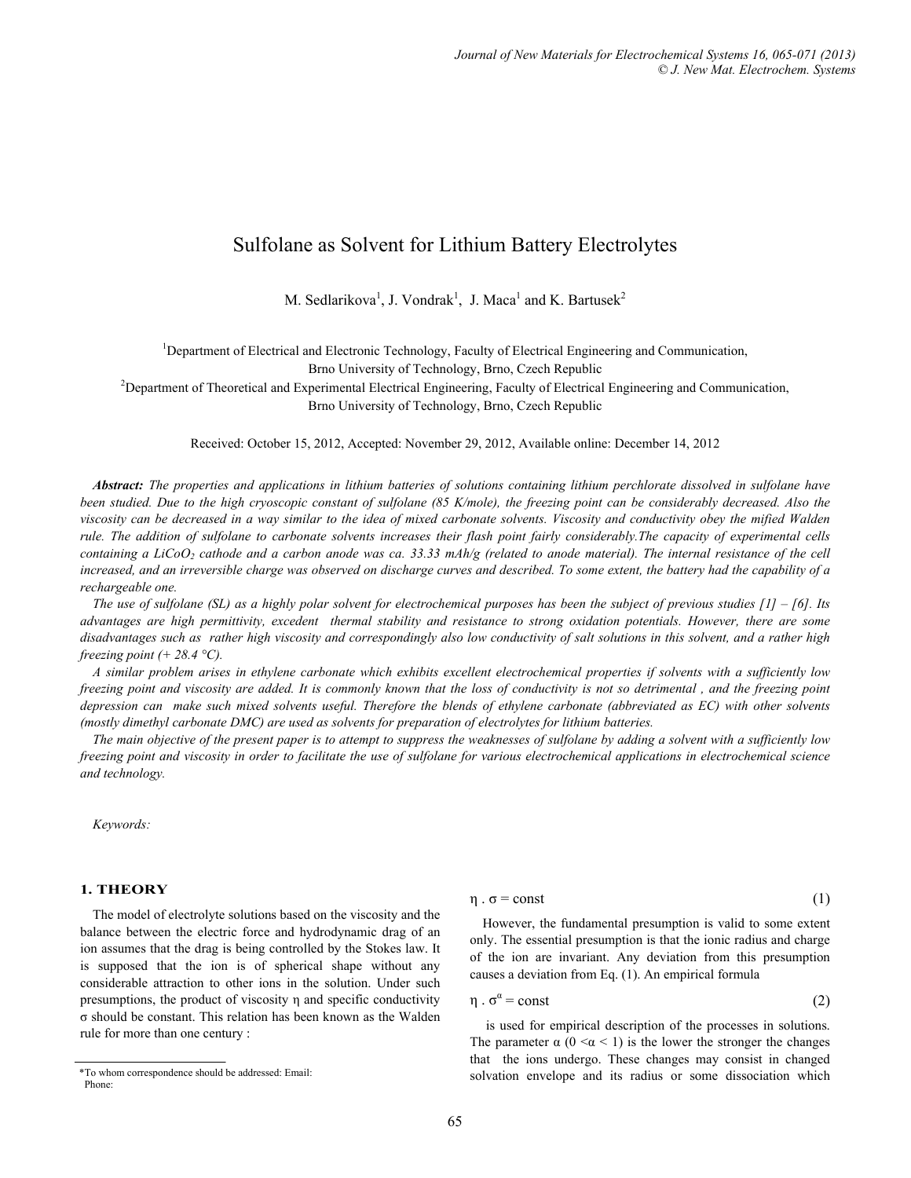# Sulfolane as Solvent for Lithium Battery Electrolytes

M. Sedlarikova<sup>1</sup>, J. Vondrak<sup>1</sup>, J. Maca<sup>1</sup> and K. Bartusek<sup>2</sup>

<sup>1</sup>Department of Electrical and Electronic Technology, Faculty of Electrical Engineering and Communication,

Brno University of Technology, Brno, Czech Republic 2

 $P^2$ Department of Theoretical and Experimental Electrical Engineering, Faculty of Electrical Engineering and Communication, Brno University of Technology, Brno, Czech Republic

Received: October 15, 2012, Accepted: November 29, 2012, Available online: December 14, 2012

*Abstract: The properties and applications in lithium batteries of solutions containing lithium perchlorate dissolved in sulfolane have*  been studied. Due to the high cryoscopic constant of sulfolane (85 K/mole), the freezing point can be considerably decreased. Also the *viscosity can be decreased in a way similar to the idea of mixed carbonate solvents. Viscosity and conductivity obey the mified Walden rule. The addition of sulfolane to carbonate solvents increases their flash point fairly considerably.The capacity of experimental cells*  containing a LiCoO<sub>2</sub> cathode and a carbon anode was ca. 33.33 mAh/g (related to anode material). The internal resistance of the cell *increased, and an irreversible charge was observed on discharge curves and described. To some extent, the battery had the capability of a rechargeable one.* 

*The use of sulfolane (SL) as a highly polar solvent for electrochemical purposes has been the subject of previous studies [1] – [6]. Its advantages are high permittivity, excedent thermal stability and resistance to strong oxidation potentials. However, there are some disadvantages such as rather high viscosity and correspondingly also low conductivity of salt solutions in this solvent, and a rather high freezing point (+ 28.4 °C).* 

*A similar problem arises in ethylene carbonate which exhibits excellent electrochemical properties if solvents with a sufficiently low freezing point and viscosity are added. It is commonly known that the loss of conductivity is not so detrimental , and the freezing point depression can make such mixed solvents useful. Therefore the blends of ethylene carbonate (abbreviated as EC) with other solvents (mostly dimethyl carbonate DMC) are used as solvents for preparation of electrolytes for lithium batteries.* 

*The main objective of the present paper is to attempt to suppress the weaknesses of sulfolane by adding a solvent with a sufficiently low freezing point and viscosity in order to facilitate the use of sulfolane for various electrochemical applications in electrochemical science and technology.* 

*Keywords:* 

# **1. THEORY**

The model of electrolyte solutions based on the viscosity and the balance between the electric force and hydrodynamic drag of an ion assumes that the drag is being controlled by the Stokes law. It is supposed that the ion is of spherical shape without any considerable attraction to other ions in the solution. Under such presumptions, the product of viscosity η and specific conductivity σ should be constant. This relation has been known as the Walden rule for more than one century :

$$
\eta \cdot \sigma = \text{const} \tag{1}
$$

However, the fundamental presumption is valid to some extent only. The essential presumption is that the ionic radius and charge of the ion are invariant. Any deviation from this presumption causes a deviation from Eq. (1). An empirical formula

$$
\eta \cdot \sigma^{\alpha} = \text{const} \tag{2}
$$

 is used for empirical description of the processes in solutions. The parameter  $\alpha$  (0 < $\alpha$  < 1) is the lower the stronger the changes that the ions undergo. These changes may consist in changed solvation envelope and its radius or some dissociation which

<sup>\*</sup>To whom correspondence should be addressed: Email: Phone: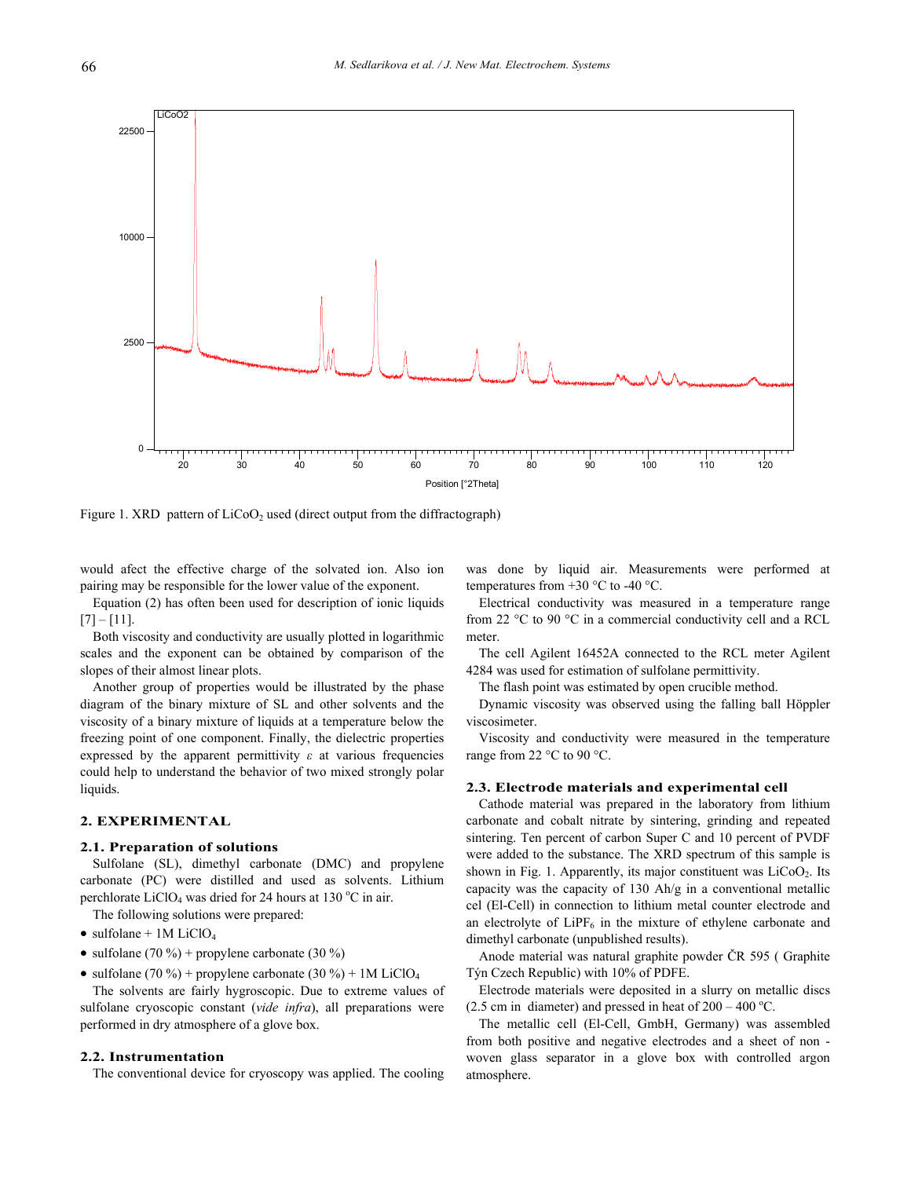

Figure 1. XRD pattern of  $LiCoO<sub>2</sub>$  used (direct output from the diffractograph)

would afect the effective charge of the solvated ion. Also ion pairing may be responsible for the lower value of the exponent.

Equation (2) has often been used for description of ionic liquids  $[7] - [11]$ .

Both viscosity and conductivity are usually plotted in logarithmic scales and the exponent can be obtained by comparison of the slopes of their almost linear plots.

Another group of properties would be illustrated by the phase diagram of the binary mixture of SL and other solvents and the viscosity of a binary mixture of liquids at a temperature below the freezing point of one component. Finally, the dielectric properties expressed by the apparent permittivity *ε* at various frequencies could help to understand the behavior of two mixed strongly polar liquids.

# **2. EXPERIMENTAL**

#### **2.1. Preparation of solutions**

Sulfolane (SL), dimethyl carbonate (DMC) and propylene carbonate (PC) were distilled and used as solvents. Lithium perchlorate  $LiClO<sub>4</sub>$  was dried for 24 hours at 130 °C in air.

The following solutions were prepared:

- $\bullet$  sulfolane + 1M LiClO<sub>4</sub>
- sulfolane (70 %) + propylene carbonate (30 %)
- sulfolane (70 %) + propylene carbonate (30 %) + 1M LiClO<sub>4</sub>

The solvents are fairly hygroscopic. Due to extreme values of sulfolane cryoscopic constant (*vide infra*), all preparations were performed in dry atmosphere of a glove box.

#### **2.2. Instrumentation**

The conventional device for cryoscopy was applied. The cooling

was done by liquid air. Measurements were performed at temperatures from  $+30$  °C to -40 °C.

Electrical conductivity was measured in a temperature range from 22 °C to 90 °C in a commercial conductivity cell and a RCL meter.

The cell Agilent 16452A connected to the RCL meter Agilent 4284 was used for estimation of sulfolane permittivity.

The flash point was estimated by open crucible method.

Dynamic viscosity was observed using the falling ball Höppler viscosimeter.

Viscosity and conductivity were measured in the temperature range from 22 °C to 90 °C.

#### **2.3. Electrode materials and experimental cell**

Cathode material was prepared in the laboratory from lithium carbonate and cobalt nitrate by sintering, grinding and repeated sintering. Ten percent of carbon Super C and 10 percent of PVDF were added to the substance. The XRD spectrum of this sample is shown in Fig. 1. Apparently, its major constituent was  $LiCoO<sub>2</sub>$ . Its capacity was the capacity of 130 Ah/g in a conventional metallic cel (El-Cell) in connection to lithium metal counter electrode and an electrolyte of  $LIPF_6$  in the mixture of ethylene carbonate and dimethyl carbonate (unpublished results).

Anode material was natural graphite powder ČR 595 ( Graphite Týn Czech Republic) with 10% of PDFE.

Electrode materials were deposited in a slurry on metallic discs (2.5 cm in diameter) and pressed in heat of  $200 - 400$  °C.

The metallic cell (El-Cell, GmbH, Germany) was assembled from both positive and negative electrodes and a sheet of non woven glass separator in a glove box with controlled argon atmosphere.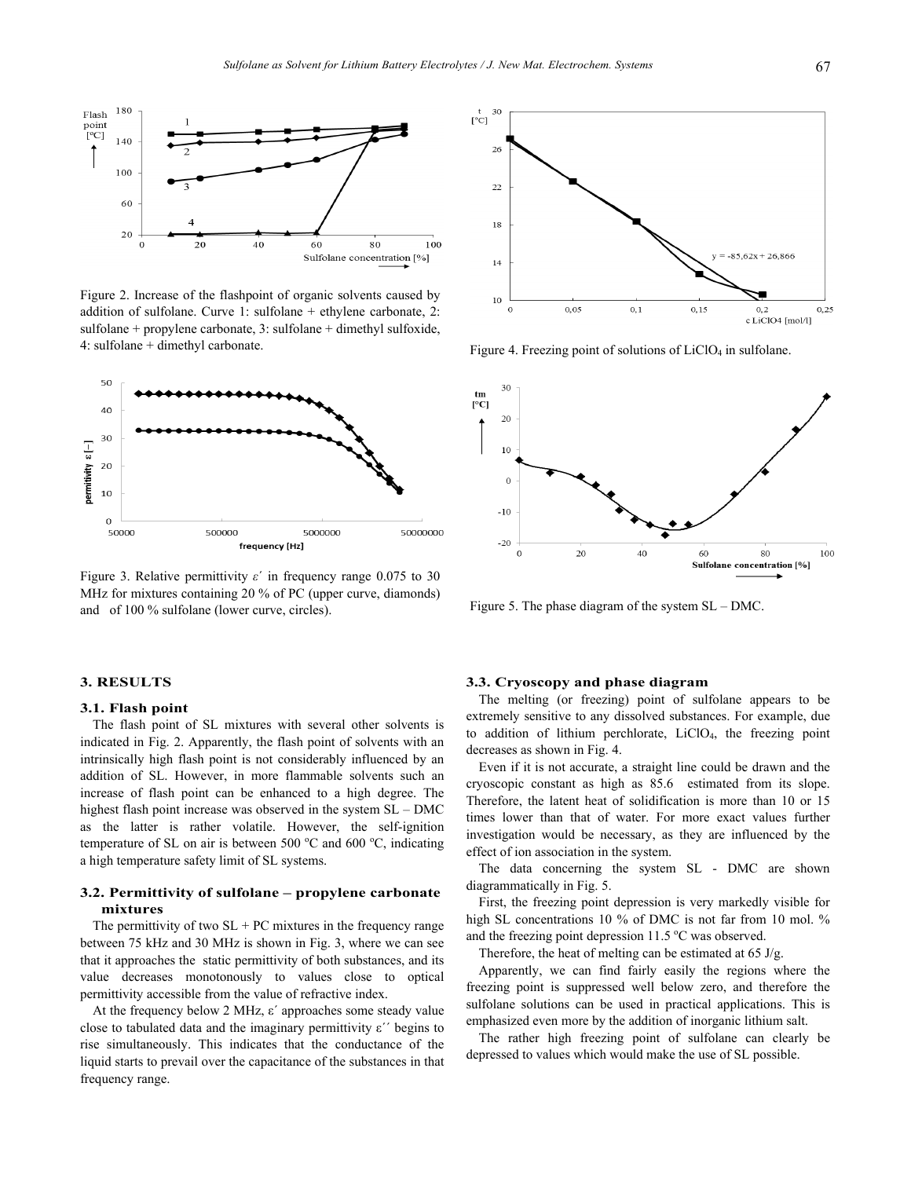

Figure 2. Increase of the flashpoint of organic solvents caused by addition of sulfolane. Curve 1: sulfolane + ethylene carbonate, 2: sulfolane + propylene carbonate, 3: sulfolane + dimethyl sulfoxide, 4: sulfolane + dimethyl carbonate.



Figure 3. Relative permittivity *ε*´ in frequency range 0.075 to 30 MHz for mixtures containing 20 % of PC (upper curve, diamonds) and of 100 % sulfolane (lower curve, circles).

#### **3. RESULTS**

# **3.1. Flash point**

The flash point of SL mixtures with several other solvents is indicated in Fig. 2. Apparently, the flash point of solvents with an intrinsically high flash point is not considerably influenced by an addition of SL. However, in more flammable solvents such an increase of flash point can be enhanced to a high degree. The highest flash point increase was observed in the system SL – DMC as the latter is rather volatile. However, the self-ignition temperature of SL on air is between 500  $^{\circ}$ C and 600  $^{\circ}$ C, indicating a high temperature safety limit of SL systems.

# **3.2. Permittivity of sulfolane – propylene carbonate mixtures**

The permittivity of two  $SL + PC$  mixtures in the frequency range between 75 kHz and 30 MHz is shown in Fig. 3, where we can see that it approaches the static permittivity of both substances, and its value decreases monotonously to values close to optical permittivity accessible from the value of refractive index.

At the frequency below 2 MHz, ε´ approaches some steady value close to tabulated data and the imaginary permittivity  $\varepsilon$ '' begins to rise simultaneously. This indicates that the conductance of the liquid starts to prevail over the capacitance of the substances in that frequency range.



Figure 4. Freezing point of solutions of LiClO<sub>4</sub> in sulfolane.



Figure 5. The phase diagram of the system SL – DMC.

### **3.3. Cryoscopy and phase diagram**

The melting (or freezing) point of sulfolane appears to be extremely sensitive to any dissolved substances. For example, due to addition of lithium perchlorate, LiClO<sub>4</sub>, the freezing point decreases as shown in Fig. 4.

Even if it is not accurate, a straight line could be drawn and the cryoscopic constant as high as 85.6 estimated from its slope. Therefore, the latent heat of solidification is more than 10 or 15 times lower than that of water. For more exact values further investigation would be necessary, as they are influenced by the effect of ion association in the system.

The data concerning the system SL - DMC are shown diagrammatically in Fig. 5.

First, the freezing point depression is very markedly visible for high SL concentrations 10 % of DMC is not far from 10 mol. % and the freezing point depression  $11.5\,^{\circ}\text{C}$  was observed.

Therefore, the heat of melting can be estimated at 65 J/g.

Apparently, we can find fairly easily the regions where the freezing point is suppressed well below zero, and therefore the sulfolane solutions can be used in practical applications. This is emphasized even more by the addition of inorganic lithium salt.

The rather high freezing point of sulfolane can clearly be depressed to values which would make the use of SL possible.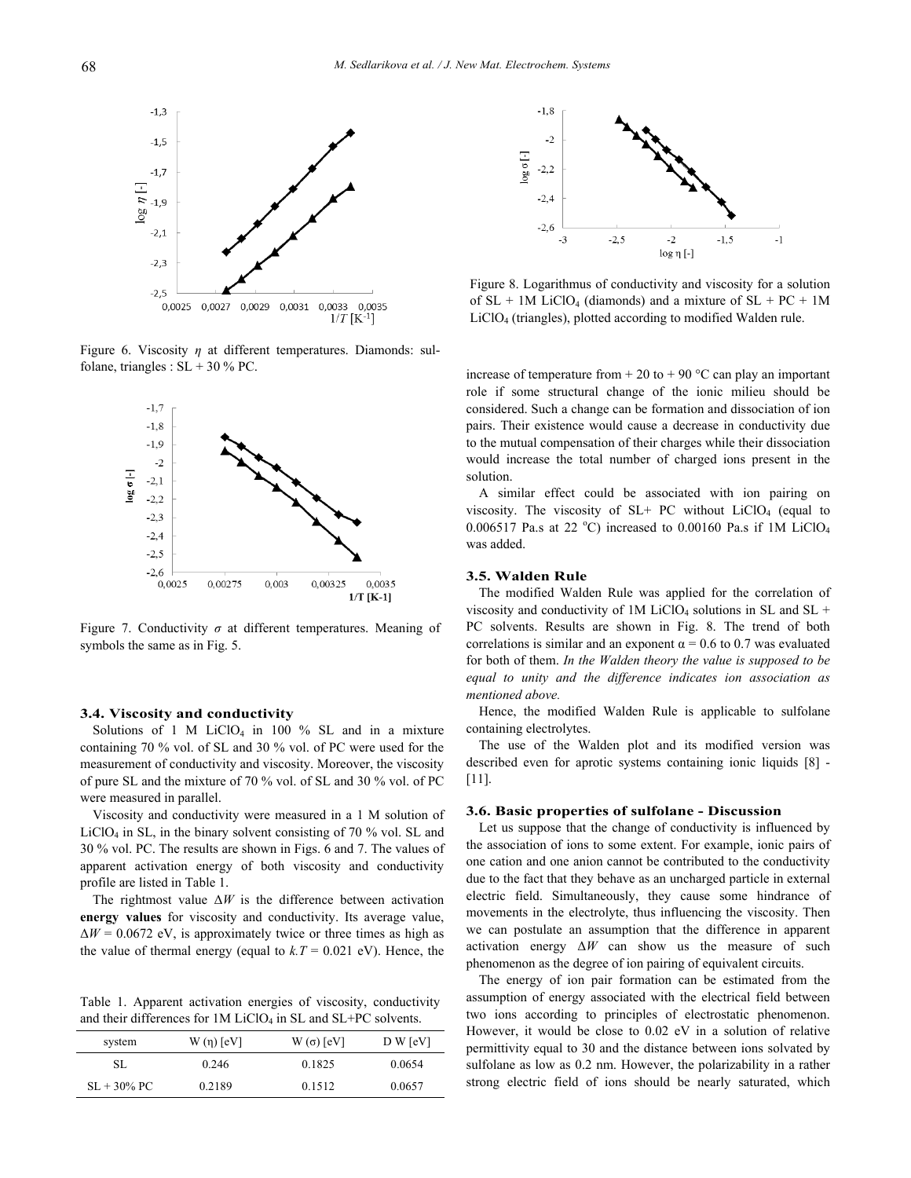

Figure 6. Viscosity *η* at different temperatures. Diamonds: sulfolane, triangles :  $SL + 30$  % PC.



Figure 7. Conductivity  $\sigma$  at different temperatures. Meaning of symbols the same as in Fig. 5.

## **3.4. Viscosity and conductivity**

Solutions of 1 M LiClO<sub>4</sub> in 100  $\%$  SL and in a mixture containing 70 % vol. of SL and 30 % vol. of PC were used for the measurement of conductivity and viscosity. Moreover, the viscosity of pure SL and the mixture of 70 % vol. of SL and 30 % vol. of PC were measured in parallel.

Viscosity and conductivity were measured in a 1 M solution of  $LiClO<sub>4</sub>$  in SL, in the binary solvent consisting of 70 % vol. SL and 30 % vol. PC. The results are shown in Figs. 6 and 7. The values of apparent activation energy of both viscosity and conductivity profile are listed in Table 1.

The rightmost value  $\Delta W$  is the difference between activation **energy values** for viscosity and conductivity. Its average value,  $\Delta W = 0.0672$  eV, is approximately twice or three times as high as the value of thermal energy (equal to  $k = 0.021$  eV). Hence, the

Table 1. Apparent activation energies of viscosity, conductivity and their differences for  $1M$  LiClO<sub>4</sub> in SL and SL+PC solvents.

| system         | $W(\eta)$ [eV] | $W(\sigma)$ [eV] | D W [eV] |
|----------------|----------------|------------------|----------|
| SL             | 0.246          | 0.1825           | 0.0654   |
| $SL + 30\%$ PC | 0.2189         | 0.1512           | 0.0657   |



Figure 8. Logarithmus of conductivity and viscosity for a solution of  $SL + 1M$  LiClO<sub>4</sub> (diamonds) and a mixture of  $SL + PC + 1M$ LiClO4 (triangles), plotted according to modified Walden rule.

increase of temperature from  $+ 20$  to  $+ 90$  °C can play an important role if some structural change of the ionic milieu should be considered. Such a change can be formation and dissociation of ion pairs. Their existence would cause a decrease in conductivity due to the mutual compensation of their charges while their dissociation would increase the total number of charged ions present in the solution.

A similar effect could be associated with ion pairing on viscosity. The viscosity of  $SL+PC$  without  $LiClO<sub>4</sub>$  (equal to 0.006517 Pa.s at 22 °C) increased to 0.00160 Pa.s if 1M LiClO<sub>4</sub> was added.

#### **3.5. Walden Rule**

The modified Walden Rule was applied for the correlation of viscosity and conductivity of  $1M$  LiClO<sub>4</sub> solutions in SL and SL + PC solvents. Results are shown in Fig. 8. The trend of both correlations is similar and an exponent  $\alpha = 0.6$  to 0.7 was evaluated for both of them. *In the Walden theory the value is supposed to be equal to unity and the difference indicates ion association as mentioned above.* 

Hence, the modified Walden Rule is applicable to sulfolane containing electrolytes.

The use of the Walden plot and its modified version was described even for aprotic systems containing ionic liquids [8] - [11].

### **3.6. Basic properties of sulfolane - Discussion**

Let us suppose that the change of conductivity is influenced by the association of ions to some extent. For example, ionic pairs of one cation and one anion cannot be contributed to the conductivity due to the fact that they behave as an uncharged particle in external electric field. Simultaneously, they cause some hindrance of movements in the electrolyte, thus influencing the viscosity. Then we can postulate an assumption that the difference in apparent activation energy  $\Delta W$  can show us the measure of such phenomenon as the degree of ion pairing of equivalent circuits.

The energy of ion pair formation can be estimated from the assumption of energy associated with the electrical field between two ions according to principles of electrostatic phenomenon. However, it would be close to 0.02 eV in a solution of relative permittivity equal to 30 and the distance between ions solvated by sulfolane as low as 0.2 nm. However, the polarizability in a rather strong electric field of ions should be nearly saturated, which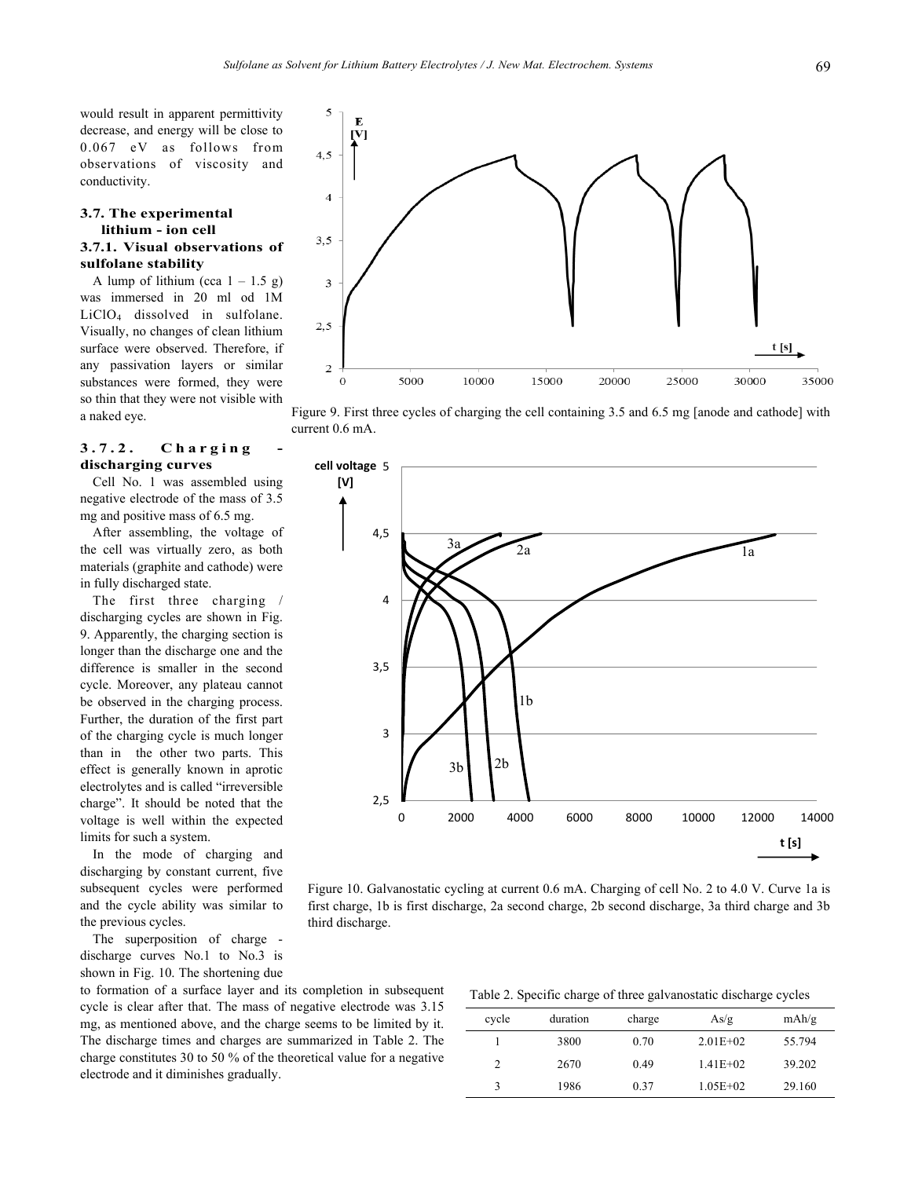would result in apparent permittivity decrease, and energy will be close to 0.067 eV as follows from observations of viscosity and conductivity.

# **3.7. The experimental lithium - ion cell 3.7.1. Visual observations of sulfolane stability**

A lump of lithium (cca  $1 - 1.5$  g) was immersed in 20 ml od 1M LiClO4 dissolved in sulfolane. Visually, no changes of clean lithium surface were observed. Therefore, if any passivation layers or similar substances were formed, they were so thin that they were not visible with a naked eye.

# **3.7.2.** Charging **discharging curves**

Cell No. 1 was assembled using negative electrode of the mass of 3.5 mg and positive mass of 6.5 mg.

After assembling, the voltage of the cell was virtually zero, as both materials (graphite and cathode) were in fully discharged state.

The first three charging / discharging cycles are shown in Fig. 9. Apparently, the charging section is longer than the discharge one and the difference is smaller in the second cycle. Moreover, any plateau cannot be observed in the charging process. Further, the duration of the first part of the charging cycle is much longer than in the other two parts. This effect is generally known in aprotic electrolytes and is called "irreversible charge". It should be noted that the voltage is well within the expected limits for such a system.

In the mode of charging and discharging by constant current, five subsequent cycles were performed and the cycle ability was similar to the previous cycles.

The superposition of charge discharge curves No.1 to No.3 is shown in Fig. 10. The shortening due

to formation of a surface layer and its completion in subsequent cycle is clear after that. The mass of negative electrode was 3.15 mg, as mentioned above, and the charge seems to be limited by it. The discharge times and charges are summarized in Table 2. The charge constitutes 30 to 50 % of the theoretical value for a negative electrode and it diminishes gradually.

third discharge.

Table 2. Specific charge of three galvanostatic discharge cycles

| cycle | duration | charge | As/g         | mAh/g  |
|-------|----------|--------|--------------|--------|
|       | 3800     | 0.70   | $2.01E + 02$ | 55.794 |
| 2     | 2670     | 0.49   | $1.41E + 02$ | 39.202 |
| 3     | 1986     | 0.37   | $1.05E + 02$ | 29.160 |



Figure 9. First three cycles of charging the cell containing 3.5 and 6.5 mg [anode and cathode] with current 0.6 mA.



Figure 10. Galvanostatic cycling at current 0.6 mA. Charging of cell No. 2 to 4.0 V. Curve 1a is first charge, 1b is first discharge, 2a second charge, 2b second discharge, 3a third charge and 3b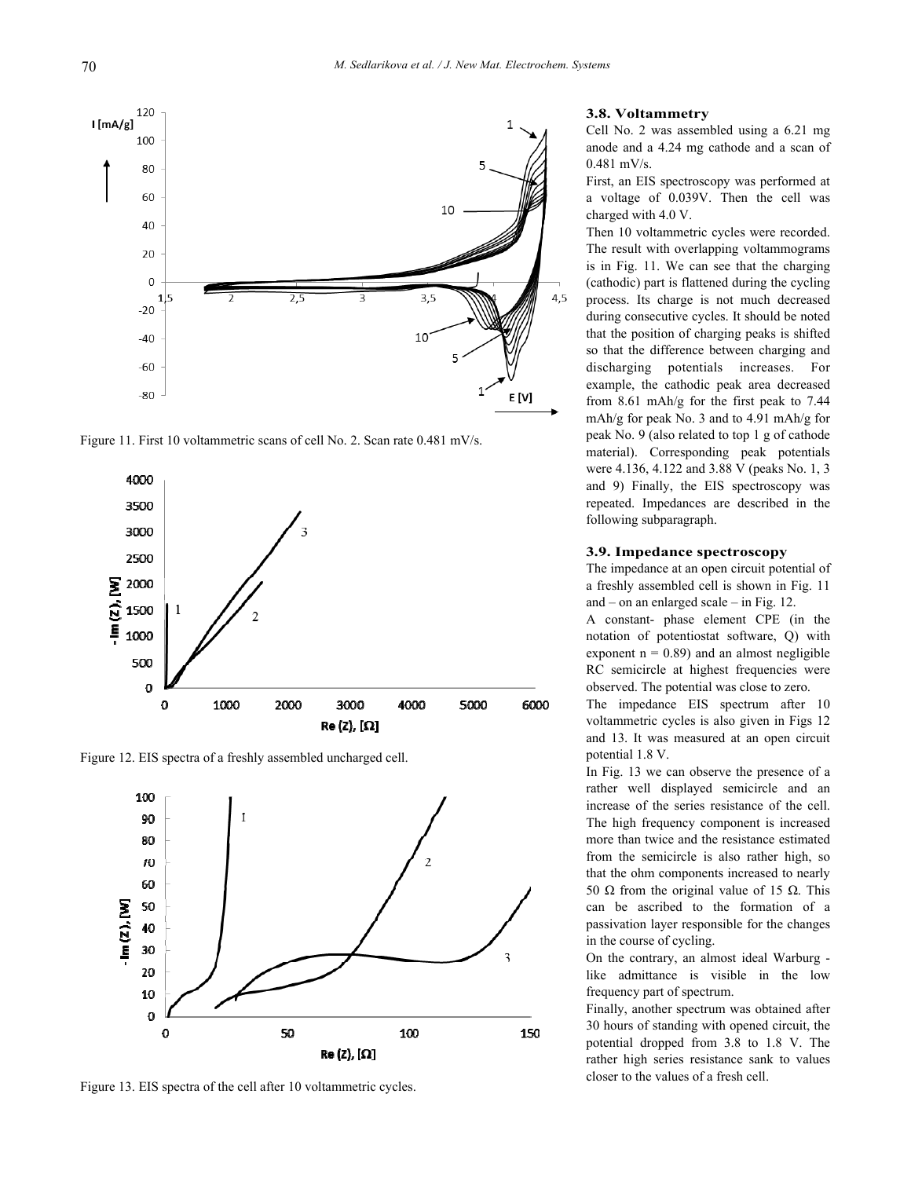

Figure 11. First 10 voltammetric scans of cell No. 2. Scan rate 0.481 mV/s.



Figure 12. EIS spectra of a freshly assembled uncharged cell.



Figure 13. EIS spectra of the cell after 10 voltammetric cycles.

## **3.8. Voltammetry**

Cell No. 2 was assembled using a 6.21 mg anode and a 4.24 mg cathode and a scan of 0.481 mV/s.

First, an EIS spectroscopy was performed at a voltage of 0.039V. Then the cell was charged with 4.0 V.

Then 10 voltammetric cycles were recorded. The result with overlapping voltammograms is in Fig. 11. We can see that the charging (cathodic) part is flattened during the cycling process. Its charge is not much decreased during consecutive cycles. It should be noted that the position of charging peaks is shifted so that the difference between charging and discharging potentials increases. For example, the cathodic peak area decreased from 8.61 mAh/g for the first peak to 7.44 mAh/g for peak No. 3 and to 4.91 mAh/g for peak No. 9 (also related to top 1 g of cathode material). Corresponding peak potentials were 4.136, 4.122 and 3.88 V (peaks No. 1, 3 and 9) Finally, the EIS spectroscopy was repeated. Impedances are described in the following subparagraph.

## **3.9. Impedance spectroscopy**

The impedance at an open circuit potential of a freshly assembled cell is shown in Fig. 11 and – on an enlarged scale – in Fig. 12.

A constant- phase element CPE (in the notation of potentiostat software, Q) with exponent  $n = 0.89$ ) and an almost negligible RC semicircle at highest frequencies were observed. The potential was close to zero.

The impedance EIS spectrum after 10 voltammetric cycles is also given in Figs 12 and 13. It was measured at an open circuit potential 1.8 V.

In Fig. 13 we can observe the presence of a rather well displayed semicircle and an increase of the series resistance of the cell. The high frequency component is increased more than twice and the resistance estimated from the semicircle is also rather high, so that the ohm components increased to nearly 50 Ω from the original value of 15 Ω. This can be ascribed to the formation of a passivation layer responsible for the changes in the course of cycling.

On the contrary, an almost ideal Warburg like admittance is visible in the low frequency part of spectrum.

Finally, another spectrum was obtained after 30 hours of standing with opened circuit, the potential dropped from 3.8 to 1.8 V. The rather high series resistance sank to values closer to the values of a fresh cell.